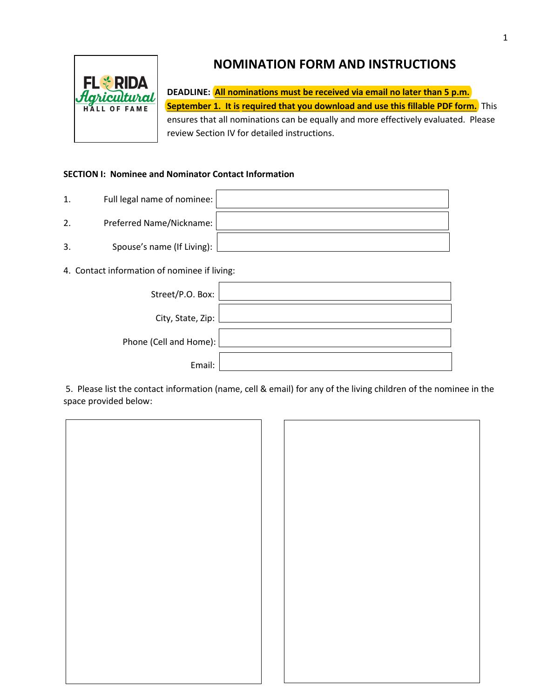



**DEADLINE: All nominations must be received via email no later than 5 p.m. September 1. It is required that you download and use this fillable PDF form.** This ensures that all nominations can be equally and more effectively evaluated. Please review Section IV for detailed instructions.

## **SECTION I: Nominee and Nominator Contact Information**

- 1. Full legal name of nominee: 2. Preferred Name/Nickname: 3. Spouse's name (If Living):
- 4. Contact information of nominee if living:

| Street/P.O. Box:       |  |
|------------------------|--|
| City, State, Zip:      |  |
| Phone (Cell and Home): |  |
| Email:                 |  |

5. Please list the contact information (name, cell & email) for any of the living children of the nominee in the space provided below:

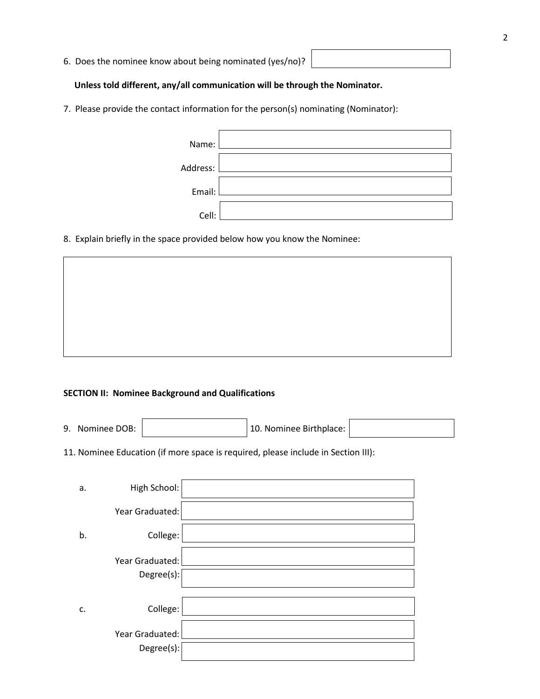6. Does the nominee know about being nominated (yes/no)?

### **Unless told different, any/all communication will be through the Nominator.**

7. Please provide the contact information for the person(s) nominating (Nominator):

| Name:    |  |
|----------|--|
| Address: |  |
| Email:   |  |
| Cell:    |  |

8. Explain briefly in the space provided below how you know the Nominee:

### **SECTION II: Nominee Background and Qualifications**

**SECTION II: Nominee General Background Information** 

9. Nominee DOB:  $\Big|$  10. Nominee Birthplace:

11. Nominee Education (if more space is required, please include in Section III):

| a. | High School:                  |  |
|----|-------------------------------|--|
|    | Year Graduated:               |  |
| b. | College:                      |  |
|    | Year Graduated:<br>Degree(s): |  |
| c. | College:                      |  |
|    | Year Graduated:<br>Degree(s): |  |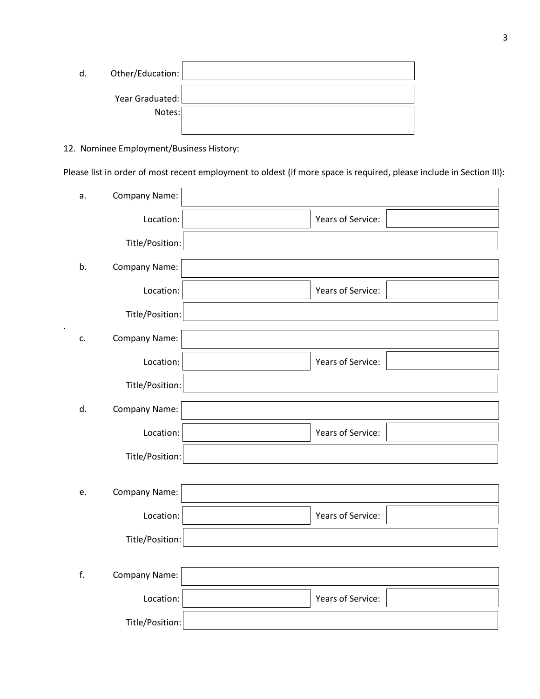| d. | Other/Education: |  |
|----|------------------|--|
|    | Year Graduated:  |  |
|    | Notes:           |  |
|    |                  |  |

12. Nominee Employment/Business History:

.

Please list in order of most recent employment to oldest (if more space is required, please include in Section III):

| a. | Company Name:   |                   |
|----|-----------------|-------------------|
|    | Location:       | Years of Service: |
|    | Title/Position: |                   |
| b. | Company Name:   |                   |
|    | Location:       | Years of Service: |
|    | Title/Position: |                   |
| c. | Company Name:   |                   |
|    | Location:       | Years of Service: |
|    | Title/Position: |                   |
| d. | Company Name:   |                   |
|    | Location:       | Years of Service: |
|    | Title/Position: |                   |
|    |                 |                   |
| e. | Company Name:   |                   |
|    | Location:       | Years of Service: |
|    | Title/Position: |                   |
|    |                 |                   |
| f. | Company Name:   |                   |
|    | Location:       | Years of Service: |
|    | Title/Position: |                   |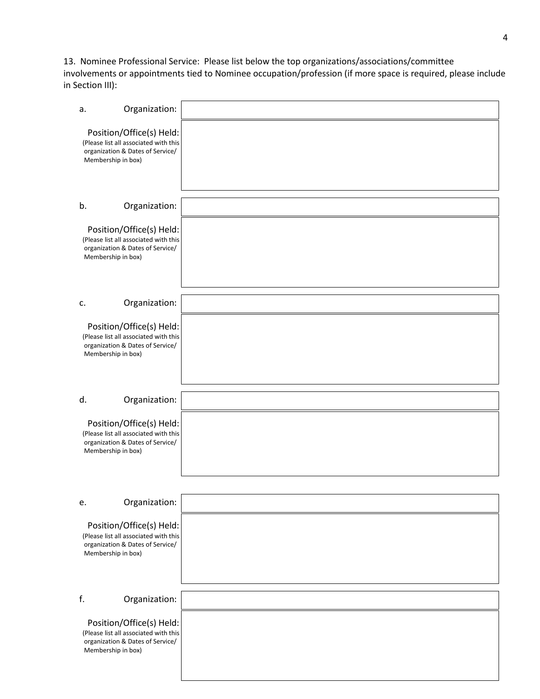# 13. Nominee Professional Service: Please list below the top organizations/associations/committee

involvements or appointments tied to Nominee occupation/profession (if more space is required, please include in Section III):

| a.                                                                                                                          | Organization: |  |
|-----------------------------------------------------------------------------------------------------------------------------|---------------|--|
| Position/Office(s) Held:<br>(Please list all associated with this<br>organization & Dates of Service/<br>Membership in box) |               |  |
| b.                                                                                                                          | Organization: |  |
| Position/Office(s) Held:<br>(Please list all associated with this<br>organization & Dates of Service/<br>Membership in box) |               |  |
| c.                                                                                                                          | Organization: |  |
|                                                                                                                             |               |  |
| Position/Office(s) Held:<br>(Please list all associated with this<br>organization & Dates of Service/<br>Membership in box) |               |  |
|                                                                                                                             |               |  |
| d.                                                                                                                          | Organization: |  |
| Position/Office(s) Held:<br>(Please list all associated with this<br>organization & Dates of Service/<br>Membership in box) |               |  |
|                                                                                                                             |               |  |
| e.                                                                                                                          | Organization: |  |
| Position/Office(s) Held:<br>(Please list all associated with this<br>organization & Dates of Service/<br>Membership in box) |               |  |
| f.                                                                                                                          | Organization: |  |
|                                                                                                                             |               |  |
| Position/Office(s) Held:<br>(Please list all associated with this<br>organization & Dates of Service/<br>Membership in box) |               |  |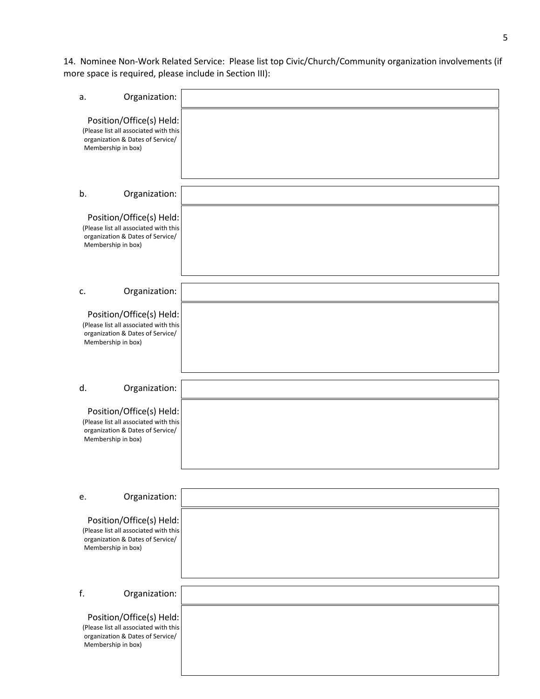14. Nominee Non-Work Related Service: Please list top Civic/Church/Community organization involvements (if more space is required, please include in Section III):

| a. | Organization:                                                                                                               |  |
|----|-----------------------------------------------------------------------------------------------------------------------------|--|
|    | Position/Office(s) Held:<br>(Please list all associated with this<br>organization & Dates of Service/<br>Membership in box) |  |
| b. | Organization:                                                                                                               |  |
|    | Position/Office(s) Held:<br>(Please list all associated with this<br>organization & Dates of Service/<br>Membership in box) |  |
| c. | Organization:                                                                                                               |  |
|    | Position/Office(s) Held:<br>(Please list all associated with this<br>organization & Dates of Service/<br>Membership in box) |  |
| d. | Organization:                                                                                                               |  |
|    | Position/Office(s) Held:<br>(Please list all associated with this<br>organization & Dates of Service/<br>Membership in box) |  |
|    |                                                                                                                             |  |
| e. | Organization:                                                                                                               |  |
|    | Position/Office(s) Held:<br>(Please list all associated with this<br>organization & Dates of Service/<br>Membership in box) |  |
| f. | Organization:                                                                                                               |  |
|    | Position/Office(s) Held:<br>(Please list all associated with this<br>organization & Dates of Service/<br>Membership in box) |  |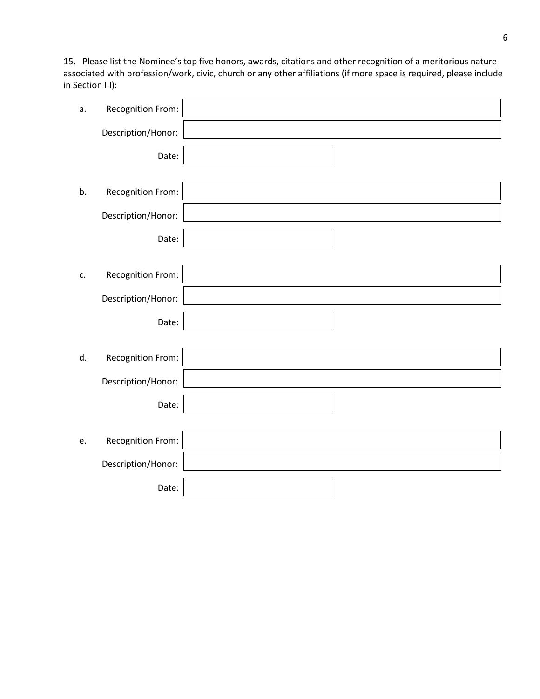15. Please list the Nominee's top five honors, awards, citations and other recognition of a meritorious nature associated with profession/work, civic, church or any other affiliations (if more space is required, please include in Section III):

| а. | Recognition From:  |  |
|----|--------------------|--|
|    | Description/Honor: |  |
|    | Date:              |  |
|    |                    |  |
| b. | Recognition From:  |  |
|    | Description/Honor: |  |
|    | Date:              |  |
|    |                    |  |
| c. | Recognition From:  |  |
|    | Description/Honor: |  |
|    | Date:              |  |
|    |                    |  |
| d. | Recognition From:  |  |
|    | Description/Honor: |  |
|    | Date:              |  |
|    |                    |  |
| e. | Recognition From:  |  |
|    | Description/Honor: |  |
|    | Date:              |  |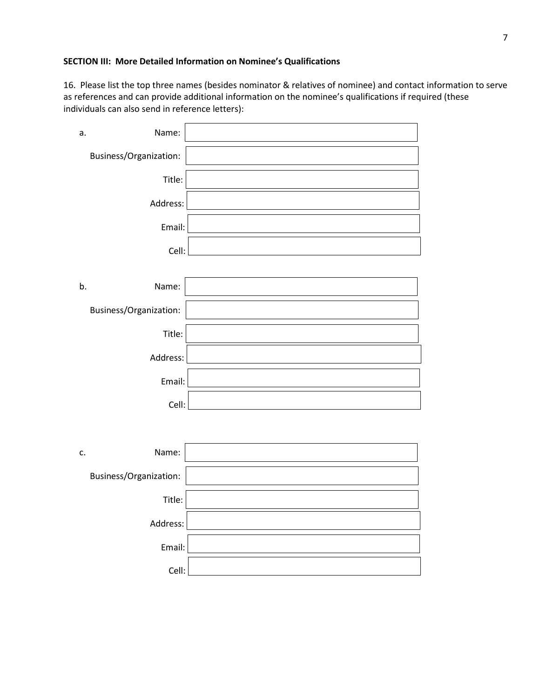### **SECTION III: More Detailed Information on Nominee's Qualifications**

16. Please list the top three names (besides nominator & relatives of nominee) and contact information to serve as references and can provide additional information on the nominee's qualifications if required (these individuals can also send in reference letters):

| Name:<br>c.            |  |
|------------------------|--|
| Business/Organization: |  |
| Title:                 |  |
| Address:               |  |
| Email:                 |  |
| Cell:                  |  |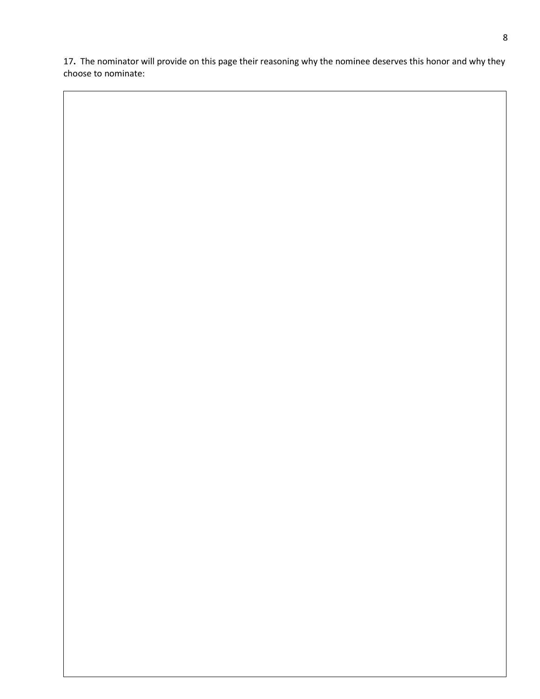**.** The nominator will provide on this page their reasoning why the nominee deserves this honor and why they choose to nominate: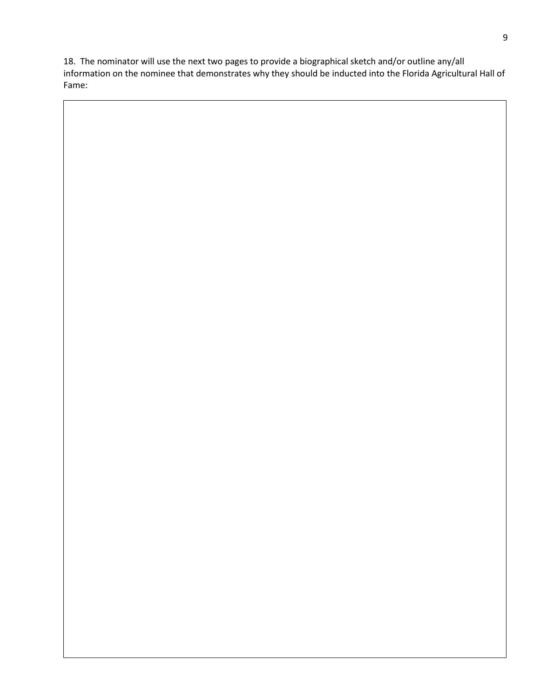18. The nominator will use the next two pages to provide a biographical sketch and/or outline any/all information on the nominee that demonstrates why they should be inducted into the Florida Agricultural Hall of Fame: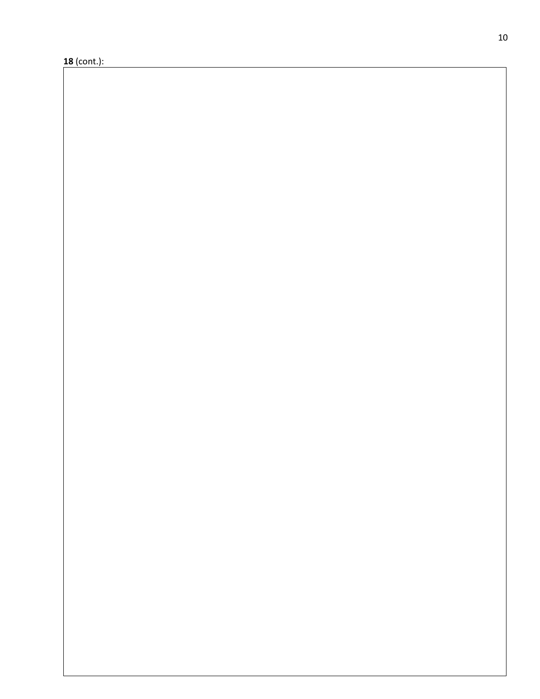(cont.):